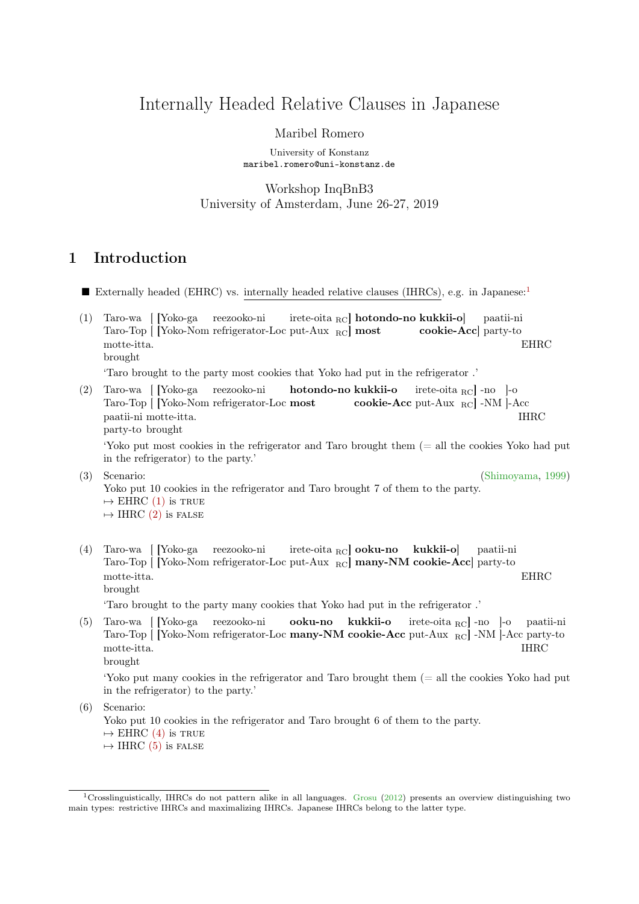# Internally Headed Relative Clauses in Japanese

### Maribel Romero

University of Konstanz maribel.romero@uni-konstanz.de

Workshop InqBnB3 University of Amsterdam, June 26-27, 2019

## 1 Introduction

- Externally headed (EHRC) vs. internally headed relative clauses (IHRCs), e.g. in Japanese:[1](#page-0-0)
- <span id="page-0-1"></span>(1) Taro-wa [ [Yoko-ga Taro-Top [ [Yoko-Nom refrigerator-Loc put-Aux RC] most reezooko-ni  ${\rm \,inter\acute{e}-oita\,}_{\rm RC}]\ {\rm \,hotondo-no\,\, kukkii-o}]$ cookie-Acc] party-to paatii-ni motte-itta. brought **EHRC**

'Taro brought to the party most cookies that Yoko had put in the refrigerator .'

<span id="page-0-2"></span>(2) Taro-wa [ [Yoko-ga Taro-Top [ [Yoko-Nom refrigerator-Loc most reezooko-ni hotondo-no kukkii-o cookie-Acc put-Aux RC -NM -Acc irete-oita RC] -no ]-o paatii-ni motte-itta. party-to brought IHRC

'Yoko put most cookies in the refrigerator and Taro brought them (= all the cookies Yoko had put in the refrigerator) to the party.'

- (3) Scenario: [\(Shimoyama,](#page-11-0) [1999\)](#page-11-0) Yoko put 10 cookies in the refrigerator and Taro brought 7 of them to the party.  $\mapsto$  EHRC [\(1\)](#page-0-1) is TRUE  $\mapsto$  IHRC [\(2\)](#page-0-2) is FALSE
- <span id="page-0-3"></span>(4) Taro-wa [ [Yoko-ga Taro-Top [ [Yoko-Nom refrigerator-Loc put-Aux <sub>RC</sub>] many-NM cookie-Acc] party-to reezooko-ni irete-oita <sub>RC</sub>] **ooku-no kukkii-o**] paatii-ni motte-itta. brought EHRC

'Taro brought to the party many cookies that Yoko had put in the refrigerator .'

<span id="page-0-4"></span>(5) Taro-wa [ [Yoko-ga reezooko-ni Taro-Top [ [Yoko-Nom refrigerator-Loc many-NM cookie-Acc put-Aux <sub>RC</sub>] -NM ]-Acc party-to ooku-no kukkii-o irete-oita RC] -no ]-o paatii-ni motte-itta. brought IHRC

'Yoko put many cookies in the refrigerator and Taro brought them (= all the cookies Yoko had put in the refrigerator) to the party.'

(6) Scenario:

Yoko put 10 cookies in the refrigerator and Taro brought 6 of them to the party.

 $\mapsto$  EHRC [\(4\)](#page-0-3) is TRUE

 $\mapsto$  IHRC [\(5\)](#page-0-4) is false

<span id="page-0-0"></span><sup>1</sup>Crosslinguistically, IHRCs do not pattern alike in all languages. [Grosu](#page-11-1) [\(2012\)](#page-11-1) presents an overview distinguishing two main types: restrictive IHRCs and maximalizing IHRCs. Japanese IHRCs belong to the latter type.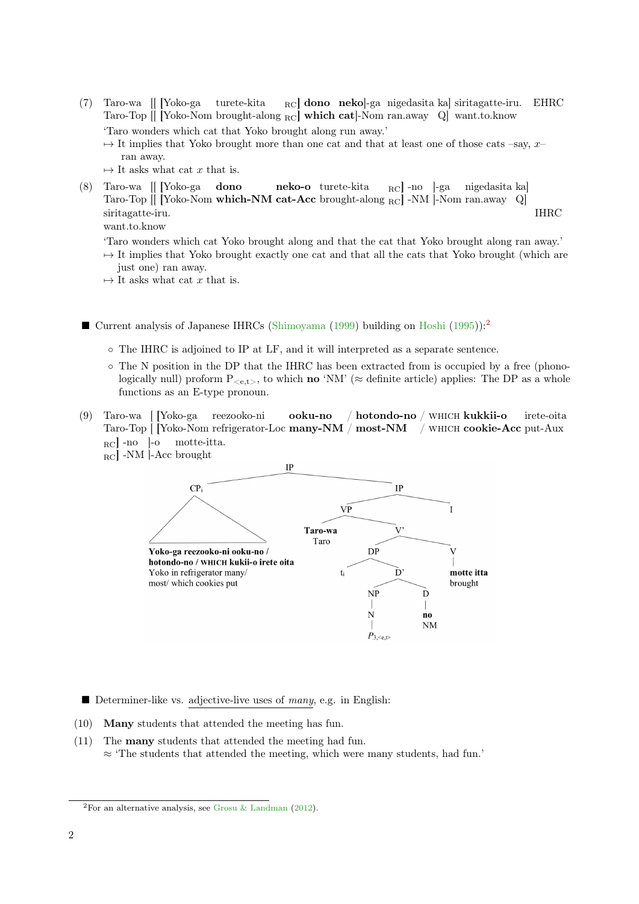- (7) Taro-wa [[ [Yoko-ga Taro-Top [[ [Yoko-Nom brought-along <sub>RC</sub>] which cat]-Nom ran.away Q] want.to.know turete-kita <sub>RC</sub>] dono neko]-ga nigedasita ka] siritagatte-iru. EHRC 'Taro wonders which cat that Yoko brought along run away.'  $\rightarrow$  It implies that Yoko brought more than one cat and that at least one of those cats –say, x– ran away.
	- $\mapsto$  It asks what cat x that is.
- <span id="page-1-1"></span>(8) Taro-wa [[ [Yoko-ga Taro-Top [[ [Yoko-Nom which-NM cat-Acc brought-along <sub>RC</sub>] -NM ]-Nom ran.away Q] dono neko-o turete-kita RC] -no ]-ga nigedasita ka] siritagatte-iru. IHRC

want.to.know

- 'Taro wonders which cat Yoko brought along and that the cat that Yoko brought along ran away.'
- $\rightarrow$  It implies that Yoko brought exactly one cat and that all the cats that Yoko brought (which are just one) ran away.
- $\mapsto$  It asks what cat x that is.
- Current analysis of Japanese IHRCs [\(Shimoyama](#page-11-0) [\(1999\)](#page-11-0) building on [Hoshi](#page-11-2) [\(1995\)](#page-11-2)):<sup>[2](#page-1-0)</sup>
	- The IHRC is adjoined to IP at LF, and it will interpreted as a separate sentence.
	- The N position in the DP that the IHRC has been extracted from is occupied by a free (phonologically null) proform  $P_{\leq e,t>}$ , to which **no** 'NM' ( $\approx$  definite article) applies: The DP as a whole functions as an E-type pronoun.
- (9) Taro-wa [ [Yoko-ga Taro-Top | Yoko-Nom refrigerator-Loc many-NM / most-NM / WHICH cookie-Acc put-Aux reezooko-ni ooku-no / hotondo-no / WHICH kukkii-o irete-oita RC -no -lo motte-itta.



- Determiner-like vs. adjective-live uses of many, e.g. in English:
- (10) Many students that attended the meeting has fun.
- <span id="page-1-2"></span>(11) The many students that attended the meeting had fun.
	- $\approx$  'The students that attended the meeting, which were many students, had fun.'

<span id="page-1-0"></span><sup>&</sup>lt;sup>2</sup>For an alternative analysis, see [Grosu & Landman](#page-11-3) [\(2012\)](#page-11-3).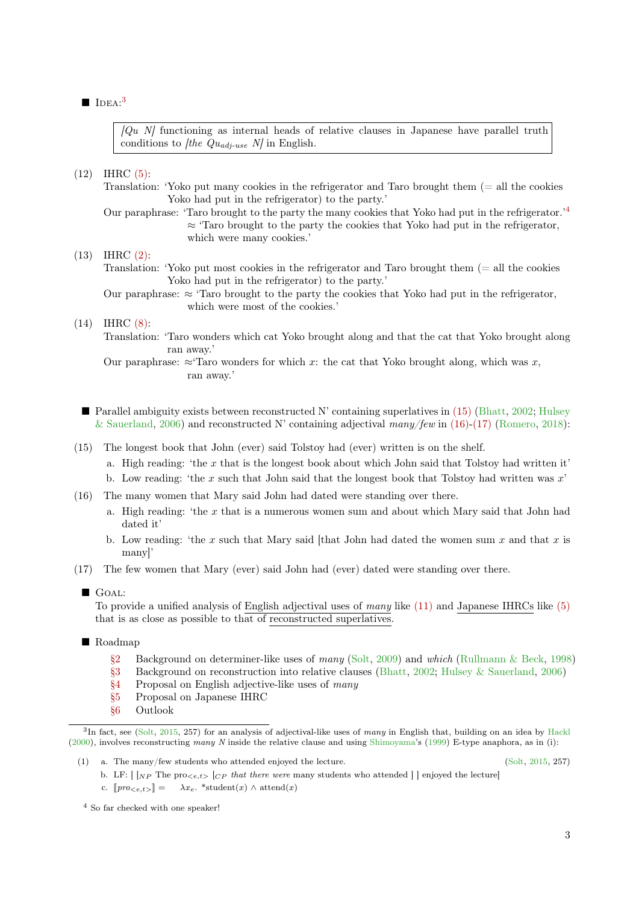### $\blacksquare$  IDEA:<sup>[3](#page-2-0)</sup>

 $[Qu\ N]$  functioning as internal heads of relative clauses in Japanese have parallel truth conditions to *f*the  $Qu_{adj-use} N$  in English.

(12) IHRC [\(5\):](#page-0-4)

- Translation: 'Yoko put many cookies in the refrigerator and Taro brought them (= all the cookies Yoko had put in the refrigerator) to the party.'
- Our paraphrase: 'Taro brought to the party the many cookies that Yoko had put in the refrigerator.'[4](#page-2-1)  $\approx$  'Taro brought to the party the cookies that Yoko had put in the refrigerator, which were many cookies.'

(13) IHRC [\(2\):](#page-0-2)

Translation: 'Yoko put most cookies in the refrigerator and Taro brought them (= all the cookies Yoko had put in the refrigerator) to the party.'

Our paraphrase:  $\approx$  'Taro brought to the party the cookies that Yoko had put in the refrigerator, which were most of the cookies.'

## (14) IHRC [\(8\):](#page-1-1)

Translation: 'Taro wonders which cat Yoko brought along and that the cat that Yoko brought along ran away.'

- **Parallel ambiguity exists between reconstructed N' containing superlatives in [\(15\)](#page-2-2) [\(Bhatt,](#page-11-4) [2002;](#page-11-4) [Hulsey](#page-11-5)** [& Sauerland,](#page-11-5) [2006\)](#page-11-5) and reconstructed N' containing adjectival many/few in [\(16\)-](#page-2-3)[\(17\)](#page-2-4) [\(Romero,](#page-11-6) [2018\)](#page-11-6):
- <span id="page-2-2"></span>(15) The longest book that John (ever) said Tolstoy had (ever) written is on the shelf.
	- a. High reading: 'the  $x$  that is the longest book about which John said that Tolstoy had written it'
	- b. Low reading: 'the x such that John said that the longest book that Tolstoy had written was  $x'$
- <span id="page-2-3"></span>(16) The many women that Mary said John had dated were standing over there.
	- a. High reading: 'the x that is a numerous women sum and about which Mary said that John had dated it'
	- b. Low reading: 'the x such that Mary said [that John had dated the women sum x and that x is many]'
- <span id="page-2-4"></span>(17) The few women that Mary (ever) said John had (ever) dated were standing over there.

To provide a unified analysis of English adjectival uses of many like [\(11\)](#page-1-2) and Japanese IHRCs like [\(5\)](#page-0-4) that is as close as possible to that of reconstructed superlatives.

- Roadmap
	- [§2](#page-3-0) Background on determiner-like uses of many [\(Solt,](#page-11-7) [2009\)](#page-11-7) and which [\(Rullmann & Beck,](#page-11-8) [1998\)](#page-11-8)
	- [§3](#page-4-0) Background on reconstruction into relative clauses [\(Bhatt,](#page-11-4) [2002;](#page-11-4) [Hulsey & Sauerland,](#page-11-5) [2006\)](#page-11-5)
	- [§4](#page-6-0) Proposal on English adjective-like uses of many
	- [§5](#page-9-0) Proposal on Japanese IHRC
	- [§6](#page-11-9) Outlook

b. LF:  $\lceil NP \rceil_{NP}$  The pro $\langle e, t \rangle$   $\lceil CP \rceil_{CP}$  that there were many students who attended  $\rceil$  enjoyed the lecture c.  $\llbracket pro_{\leq e,t} \rangle = \lambda x_e$ . \*student $(x) \wedge \text{attend}(x)$ 

<span id="page-2-1"></span><sup>4</sup> So far checked with one speaker!

Our paraphrase:  $\approx$ 'Taro wonders for which x: the cat that Yoko brought along, which was x, ran away.'

GOAL:

<span id="page-2-0"></span> ${}^{3}$ In fact, see [\(Solt,](#page-11-10) [2015,](#page-11-10) 257) for an analysis of adjectival-like uses of many in English that, building on an idea by [Hackl](#page-11-11) [\(2000\)](#page-11-11), involves reconstructing many N inside the relative clause and using [Shimoyama'](#page-11-0)s [\(1999\)](#page-11-0) E-type anaphora, as in (i):

<sup>(1)</sup> a. The many/few students who attended enjoyed the lecture. [\(Solt,](#page-11-10) [2015,](#page-11-10) 257)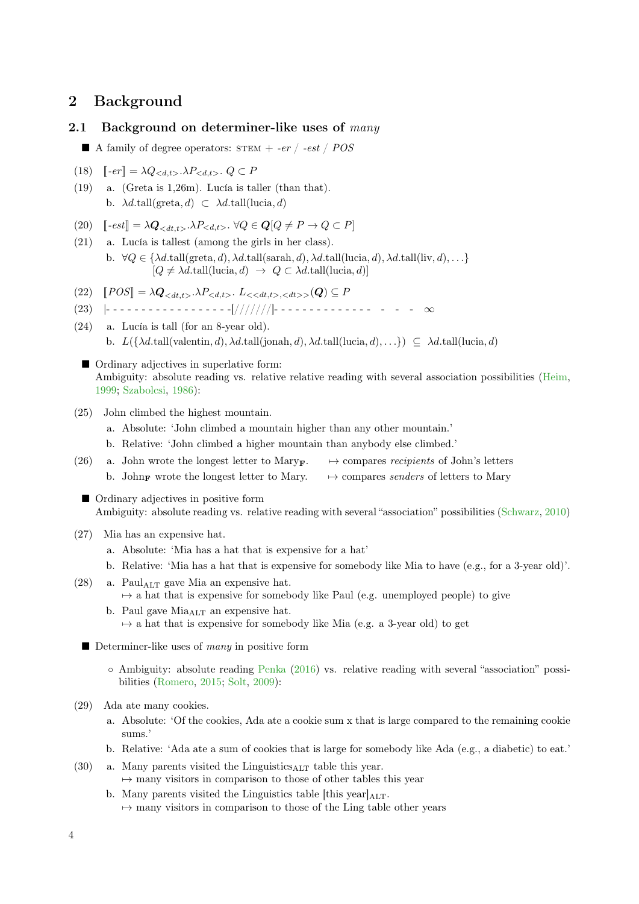## <span id="page-3-0"></span>2 Background

### 2.1 Background on determiner-like uses of  $many$

- A family of degree operators:  $STEM + -er / -est / POS$
- (18)  $\llbracket -er \rrbracket = \lambda Q_{} \cdot \lambda P_{} \cdot Q \subset P$ <br>(19) a. (Greta is 1,26m). Lucía is ta
- a. (Greta is  $1,26m$ ). Lucía is taller (than that). b.  $\lambda d.\text{tall}(\text{greta}, d) \subset \lambda d.\text{tall}(\text{lucia}, d)$
- 
- (20)  $\left[ -est \right] = \lambda \mathbf{Q}_{< dt, t>} \cdot \lambda P_{< d, t>} \cdot \forall Q \in \mathbf{Q} [Q \neq P \rightarrow Q \subset P]$ <br>(21) a. Lucía is tallest (among the girls in her class). a. Lucía is tallest (among the girls in her class). b.  $\forall Q \in \{\lambda d.\text{tall}(\text{greta}, d), \lambda d.\text{tall}(\text{sarah}, d), \lambda d.\text{tall}(\text{lucia}, d), \lambda d.\text{tall}(\text{liv}, d), \ldots\}$  $[Q \neq \lambda d.\text{tall}(\text{lucia}, d) \rightarrow Q \subset \lambda d.\text{tall}(\text{lucia}, d)]$
- <span id="page-3-1"></span> $(22) \quad [POS] = \lambda \mathbf{Q}_{< dt, t>} \cdot \lambda P_{< d, t>} \cdot L_{< < dt, t> ,< dt>} \cdot (\mathbf{Q}) \subseteq P$
- (23) |- - - - - - - - - -[///////]- - - - - - - - - ∞
- (24) a. Lucía is tall (for an 8-year old). b.  $L(\{\lambda d.\text{tall}(\text{valentin}, d), \lambda d.\text{tall}(\text{jonah}, d), \lambda d.\text{tall}(\text{lucia}, d), \ldots\}) \subseteq \lambda d.\text{tall}(\text{lucia}, d)$
- Ordinary adjectives in superlative form: Ambiguity: absolute reading vs. relative relative reading with several association possibilities [\(Heim,](#page-11-12) [1999;](#page-11-12) [Szabolcsi,](#page-11-13) [1986\)](#page-11-13):
- (25) John climbed the highest mountain.
	- a. Absolute: 'John climbed a mountain higher than any other mountain.'
	- b. Relative: 'John climbed a higher mountain than anybody else climbed.'
- (26) a. John wrote the longest letter to Mary<sub>F</sub>.  $\rightarrow$  compares recipients of John's letters b. John<sub>F</sub> wrote the longest letter to Mary.  $\rightarrow$  compares senders of letters to Mary
	- Ordinary adjectives in positive form Ambiguity: absolute reading vs. relative reading with several "association" possibilities [\(Schwarz,](#page-11-14) [2010\)](#page-11-14)
- (27) Mia has an expensive hat.
	- a. Absolute: 'Mia has a hat that is expensive for a hat'
	- b. Relative: 'Mia has a hat that is expensive for somebody like Mia to have (e.g., for a 3-year old)'.
- $(28)$  a. Paul<sub>ALT</sub> gave Mia an expensive hat.  $\rightarrow$  a hat that is expensive for somebody like Paul (e.g. unemployed people) to give
	- b. Paul gave  $Mia<sub>ALT</sub>$  an expensive hat.  $\rightarrow$  a hat that is expensive for somebody like Mia (e.g. a 3-year old) to get
	- Determiner-like uses of many in positive form
		- Ambiguity: absolute reading [Penka](#page-11-15) [\(2016\)](#page-11-15) vs. relative reading with several "association" possibilities [\(Romero,](#page-11-16) [2015;](#page-11-16) [Solt,](#page-11-7) [2009\)](#page-11-7):
- (29) Ada ate many cookies.
	- a. Absolute: 'Of the cookies, Ada ate a cookie sum x that is large compared to the remaining cookie sums.'
	- b. Relative: 'Ada ate a sum of cookies that is large for somebody like Ada (e.g., a diabetic) to eat.'
- (30) a. Many parents visited the Linguistics $_{\text{ALT}}$  table this year.  $\rightarrow$  many visitors in comparison to those of other tables this year
	- b. Many parents visited the Linguistics table [this year] $_{\text{AIT}}$ .  $\rightarrow$  many visitors in comparison to those of the Ling table other years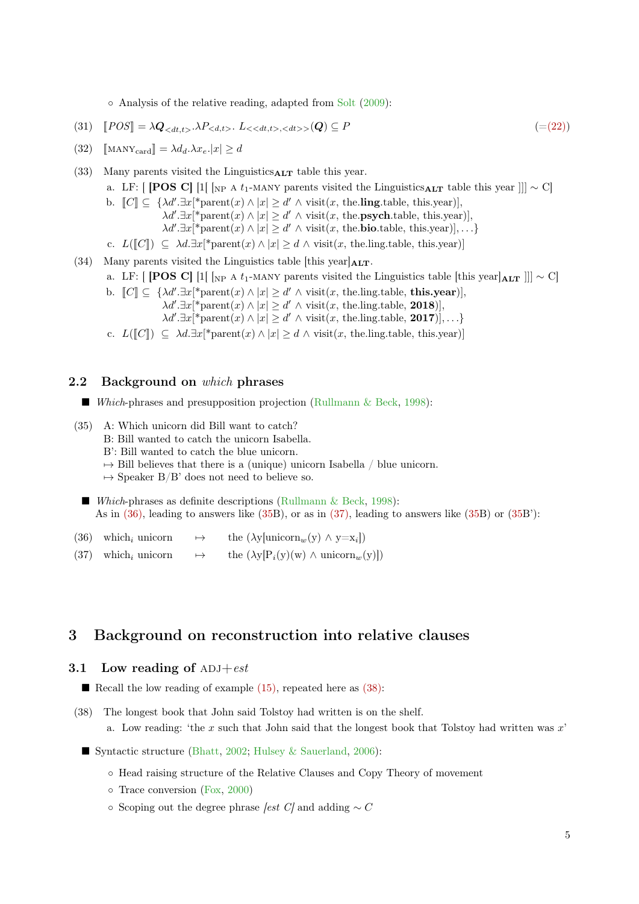◦ Analysis of the relative reading, adapted from [Solt](#page-11-7) [\(2009\)](#page-11-7):

$$
(31) \quad [POS] = \lambda \mathbf{Q}_{< dt, t>} \cdot \lambda P_{< dt, t>} \cdot L_{< dt, t>} \cdot (Q) \subseteq P \tag{=(22)}
$$

- (32)  $\operatorname{MANY}_{\text{card}} = \lambda d_d \lambda x_e |x| > d$
- (33) Many parents visited the Linguistics $_{\text{ALT}}$  table this year.
	- a. LF: [ [POS C] [1[  $_{\rm NP}$  A t<sub>1</sub>-MANY parents visited the Linguistics<sub>ALT</sub> table this year ]]]  $\sim$  C[
	- b.  $\llbracket C \rrbracket \subseteq \{ \lambda d'. \exists x[^* \text{parent}(x) \land |x| \geq d' \land \text{visit}(x, \text{ the } \text{ling.} \text{ table}, \text{ this.} \text{year}) \}, \newline \lambda d' \exists x[^* \text{parent}(x) \land |x| \geq d' \land \text{visit}(x, \text{ the } \text{pxuch.} \text{ table}, \text{ this.} \text{year}) \}$ 
		- $\lambda d' \cdot \exists x[*parent(x) \land |x| \geq d' \land visit(x, the **psych**.table, this. year)],$ 
			- $\lambda d' \exists x[*parent(x) \land |x| \geq d' \land visit(x, the **bio**.table, this. year)],...$
	- c.  $L([C]) \subseteq \lambda d.\exists x[^* \text{parent}(x) \wedge |x| \geq d \wedge \text{visit}(x, \text{the}.\text{ling}.\text{table}, \text{this}.\text{year})]$
- (34) Many parents visited the Linguistics table [this year] $_{\text{ALT}}$ .
	- a. LF: [ **[POS C]** [1] [<sub>NP A t<sub>1</sub>-MANY parents visited the Linguistics table [this year] $AT_1$  ]]]  $\sim$  C[</sub>
		- b.  $\llbracket C \rrbracket \subseteq \{ \lambda d'. \exists x[^* \text{parent}(x) \land |x| \geq d' \land \text{visit}(x, \text{ the } \text{ling.} \text{ table}, \text{ this.} \text{year}) \},\$ 
			- $\lambda d' \cdot \exists x[*parent(x) \wedge |x| \geq d' \wedge visit(x, the ling. table, 2018)],$
			- $\lambda d' \cdot \exists x[\text{*parent}(x) \land |x| \geq d' \land \text{visit}(x, \text{ the } \text{ling} \cdot \text{table}, 2017)], \ldots\}$
		- c.  $L([C]) \subseteq \lambda d.\exists x[^* \text{parent}(x) \wedge |x| \geq d \wedge \text{visit}(x, \text{the}.\text{ling}.\text{table}, \text{this}.\text{year})]$

### 2.2 Background on which phrases

- Which-phrases and presupposition projection [\(Rullmann & Beck,](#page-11-8) [1998\)](#page-11-8):
- <span id="page-4-2"></span>(35) A: Which unicorn did Bill want to catch? B: Bill wanted to catch the unicorn Isabella. B': Bill wanted to catch the blue unicorn.  $\rightarrow$  Bill believes that there is a (unique) unicorn Isabella / blue unicorn.  $\mapsto$  Speaker B/B' does not need to believe so. Which-phrases as definite descriptions [\(Rullmann & Beck,](#page-11-8) [1998\)](#page-11-8):
	- As in [\(36\),](#page-4-1) leading to answers like [\(35B](#page-4-2)), or as in [\(37\),](#page-4-3) leading to answers like [\(35B](#page-4-2)) or [\(35B](#page-4-2)'):
- <span id="page-4-1"></span>(36) which<sub>i</sub> unicorn  $\mapsto$  the ( $\lambda$ y[unicorn<sub>w</sub>(y)  $\wedge$  y=x<sub>i</sub>])
- <span id="page-4-3"></span>(37) which<sub>i</sub> unicorn  $\rightarrow$  the  $(\lambda y[P_i(y)(w) \wedge \text{unicorn}_w(y)])$

## <span id="page-4-0"></span>3 Background on reconstruction into relative clauses

#### <span id="page-4-5"></span>3.1 Low reading of  $ADJ + est$

- Recall the low reading of example  $(15)$ , repeated here as  $(38)$ :
- <span id="page-4-4"></span>(38) The longest book that John said Tolstoy had written is on the shelf. a. Low reading: 'the x such that John said that the longest book that Tolstoy had written was  $x'$ 
	- Syntactic structure [\(Bhatt,](#page-11-4) [2002;](#page-11-4) [Hulsey & Sauerland,](#page-11-5) [2006\)](#page-11-5):
		- Head raising structure of the Relative Clauses and Copy Theory of movement
		- Trace conversion [\(Fox,](#page-11-17) [2000\)](#page-11-17)
		- Scoping out the degree phrase [est C] and adding ∼ C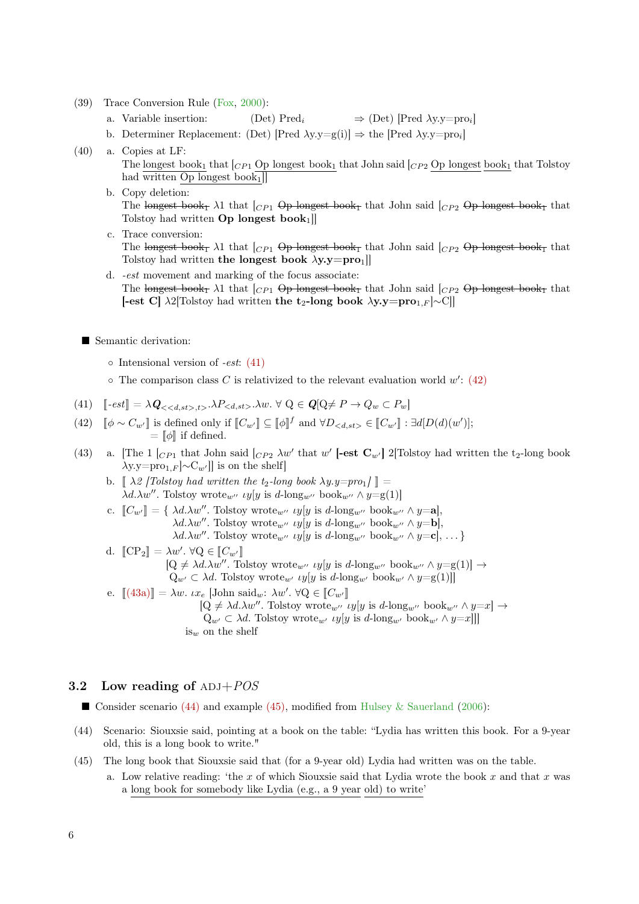- (39) Trace Conversion Rule [\(Fox,](#page-11-17) [2000\)](#page-11-17):
	- a. Variable insertion:  $(Det) Pred_i \Rightarrow (Det) [Pred \lambda y.y = pro_i]$
	- b. Determiner Replacement: (Det) [Pred  $\lambda y.y=g(i)$ ]  $\Rightarrow$  the [Pred  $\lambda y.y=proj$ ]
- (40) a. Copies at LF: The longest book<sub>1</sub> that  $|_{CP_1}$  Op longest book<sub>1</sub> that John said  $|_{CP_2}$  Op longest book<sub>1</sub> that Tolstoy had written Op longest book<sub>1</sub>]
	- b. Copy deletion: The longest book<sub>1</sub>  $\lambda$ 1 that  $\begin{bmatrix} C_{P1} & \text{Op}-\text{longest} & \text{book}_{1} \end{bmatrix}$  that John said  $\begin{bmatrix} C_{P2} & \text{Op}-\text{longest} & \text{book}_{1} \end{bmatrix}$  that Tolstoy had written  $Op$  longest book<sub>1</sub>]
	- c. Trace conversion: The longest book<sub>1</sub>  $\lambda$ 1 that  $\begin{bmatrix} C_{P1} & \text{Op longest book}_T & \text{that John said} \end{bmatrix}$  ( $\begin{bmatrix} C_{P2} & \text{Op longest book}_T & \text{that } C_{P1} & \text{Op longest book}_T \end{bmatrix}$ Tolstoy had written the longest book  $\lambda y.y = pro_1$ ]
	- d. -est movement and marking of the focus associate: The longest book<sub>1</sub>  $\lambda$ 1 that  $\left[\begin{array}{cc} C_{P1} & \text{Op longest book}_{\text{I}} \end{array} \right]$  that John said  $\left[\begin{array}{cc} C_{P2} & \text{Op longest book}_{\text{I}} \end{array} \right]$ [-est C]  $\lambda$ 2[Tolstoy had written the t<sub>2</sub>-long book  $\lambda$ y.y=pro<sub>1</sub><sub>F</sub> |∼C]]

Semantic derivation:

- Intensional version of -est: [\(41\)](#page-5-0)
- $\circ$  The comparison class C is relativized to the relevant evaluation world  $w'$ : [\(42\)](#page-5-1)

<span id="page-5-0"></span>(41) 
$$
[-est] = \lambda \mathbf{Q}_{\langle < d, st \rangle, t \rangle} \cdot \lambda P_{\langle d, st \rangle} \cdot \lambda w. \ \forall \ Q \in \mathbf{Q}[\mathbf{Q} \neq P \rightarrow Q_w \subset P_w]
$$

- <span id="page-5-1"></span>(42)  $[\![\phi \sim C_{w'}]\!]$  is defined only if  $[\![C_{w'}]\!] \subseteq [\![\phi]\!]^f$  and  $\forall D_{< d, st>} \in [\![C_{w'}]\!] : \exists d[D(d)(w')];$  $= \llbracket \phi \rrbracket$  if defined.
- <span id="page-5-2"></span>(43) a. [The 1  $\begin{bmatrix} C_{P1} \end{bmatrix}$  that John said  $\begin{bmatrix} C_{P2} \end{bmatrix}$  aw' that w' [-est  $C_{w'}$ ] 2[Tolstoy had written the t<sub>2</sub>-long book  $\lambda y.y=pro_{1,F} |\sim C_{w'}|$  is on the shelf
	- b.  $\left[\right. \lambda \right. \left[2 \right]$  /  $\left[\right. \left[ \lambda \right]$  /  $\left[\right]$  and written the t<sub>2</sub>-long book  $\lambda y.y=proj \right]$  =  $\lambda d.\lambda w''$ . Tolstoy wrote<sub>w''</sub> *uy*[y is d-long<sub>w''</sub> book<sub>w''</sub>  $\wedge$  y=g(1)]
	- c.  $[[C_{w'}]] = \{ \lambda d. \lambda w''$ . Tolstoy wrote www.  $[y]$  is d-long whook words we have  $\lambda d.\lambda w''$ . Tolstoy wrote<sub>w''</sub> *uy*[y is d-long<sub>w''</sub> book<sub>w''</sub>  $\wedge$  y=**b**],  $\lambda d.\lambda w''$ . Tolstoy wrote<sub>w''</sub> *uy*[y is d-long<sub>w''</sub> book<sub>w''</sub>  $\wedge$  y=**c**], ...}
	- d.  $[\![CP_2]\!] = \lambda w'. \; \forall Q \in [\![C_{w'}]\!]$ <br> $[Q \neq \lambda d \; \lambda w''$  $[Q \neq \lambda d.\lambda w''$ . Tolstoy wrote<sub>w''</sub>  $\iota y[y \text{ is } d\text{-long}_{w''} \text{ book}_{w''} \wedge y = g(1)] \rightarrow$  $Q_{w'} \subset \lambda d$ . Tolstoy wrote<sub>w'</sub> *uy*[y is d-long<sub>w'</sub> book<sub>w'</sub>  $\wedge$  y=g(1)]] e.  $[(43a)] = \lambda w$  $[(43a)] = \lambda w$  $[(43a)] = \lambda w$ .  $ix_e$  [John said<sub>w</sub>:  $\lambda w'$ .  $\forall Q \in [C_{w'}]$ <br> $[Q \neq \lambda d \lambda w''$ . Teletor wrote
		- $[Q \neq \lambda d.\lambda w''$ . Tolstoy wrote<sub>w''</sub>  $\iota y[y]$  is  $d$ -long<sub>w''</sub> book<sub>w''</sub>  $\wedge y=x$   $\rightarrow$  $Q_{w'} \subset \lambda d$ . Tolstoy wrote<sub>w'</sub> *uy*[y is d-long<sub>w'</sub> book<sub>w'</sub> ∧ y=x]]] is<sub>w</sub> on the shelf

## 3.2 Low reading of  $ADJ+POS$

Consider scenario  $(44)$  and example  $(45)$ , modified from [Hulsey & Sauerland](#page-11-5)  $(2006)$ :

- <span id="page-5-3"></span>(44) Scenario: Siouxsie said, pointing at a book on the table: "Lydia has written this book. For a 9-year old, this is a long book to write."
- <span id="page-5-4"></span>(45) The long book that Siouxsie said that (for a 9-year old) Lydia had written was on the table. a. Low relative reading: 'the x of which Siouxsie said that Lydia wrote the book x and that x was a long book for somebody like Lydia (e.g., a 9 year old) to write'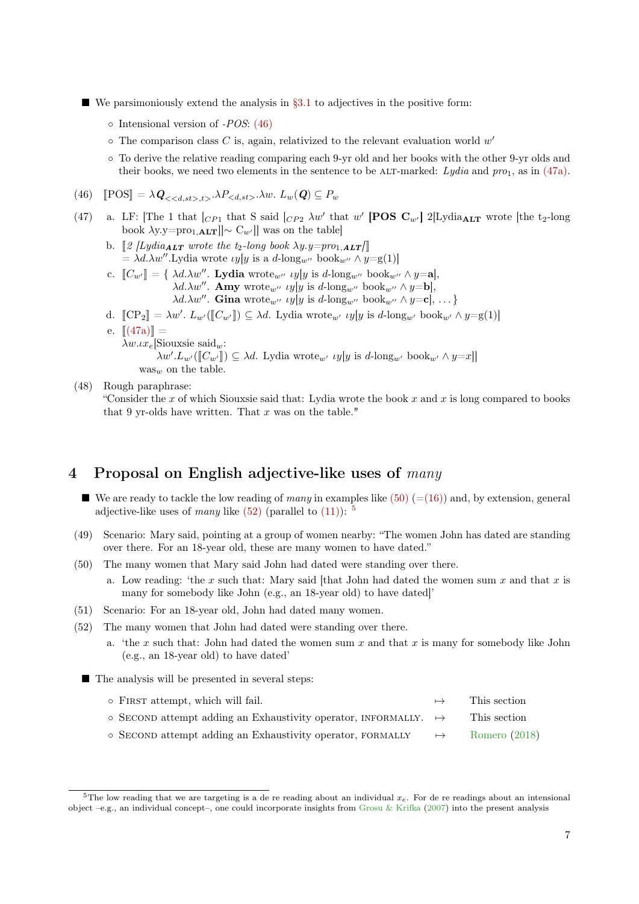- We parsimoniously extend the analysis in  $\S 3.1$  to adjectives in the positive form:
	- $\circ$  Intensional version of -POS: [\(46\)](#page-6-1)
	- $\circ$  The comparison class C is, again, relativized to the relevant evaluation world  $w'$
	- To derive the relative reading comparing each 9-yr old and her books with the other 9-yr olds and their books, we need two elements in the sentence to be ALT-marked: Lydia and  $proj_1$ , as in [\(47a\).](#page-6-2)

<span id="page-6-1"></span>(46) 
$$
\mathbb{P} \text{OS} \mathbb{I} = \lambda \mathbf{Q}_{<, t>} \cdot \lambda P_{} \cdot \lambda w. L_w(\mathbf{Q}) \subseteq P_w
$$

- <span id="page-6-2"></span>(47) a. LF: [The 1 that  $\begin{bmatrix} C_{P1} \end{bmatrix}$  that S said  $\begin{bmatrix} C_{P2} \end{bmatrix}$  aw' that w' [POS  $C_{w'}$ ] 2[Lydia<sub>ALT</sub> wrote [the t<sub>2</sub>-long] book  $\lambda y.y=pro_{1,\mathbf{ALT}}||\sim C_{w'}||$  was on the table
	- b.  $\llbracket \mathcal{Z} \left[ Lydia_{\boldsymbol{ALT}} \right]$  wrote the t<sub>2</sub>-long book  $\lambda y.y = pro_{1,\boldsymbol{ALT}}$  $= \lambda d.\lambda w''$ .Lydia wrote  $\iota y[y]$  is a  $d$ -long<sub>w</sub> $\infty$  book<sub>w</sub> $\infty \wedge y = g(1)$ ]
	- c.  $[[C_{w'}]] = \{\lambda d.\lambda w''$ . **Lydia** wrote<sub>w''</sub> *u*y[y is d-long<sub>w''</sub> book<sub>w''</sub>  $\wedge$  y=a],  $\lambda d.\lambda w''$ . **Amy** wrote<sub>w''</sub>  $\iota y[y]$  is  $d$ -long<sub>w''</sub> book<sub>w''</sub>  $\wedge y = b$ ,  $\lambda d.\lambda w''$ . Gina wrote<sub>w''</sub> *uy*[y is d-long<sub>w''</sub> book<sub>w''</sub>  $\wedge$  y=c], ...}
	- d.  $[\![CP_2]\!] = \lambda w'. L_{w'}([\![C_{w'}]\!]) \subseteq \lambda d.$  Lydia wrote<sub>w'</sub>  $\iota y[y]$  is  $d$ -long<sub>w'</sub> book<sub>w'</sub>  $\wedge y = g(1)$ ]
	- e.  $[(47a)] =$  $[(47a)] =$  $[(47a)] =$ 
		- $\lambda w \iota x_e$ [Siouxsie said<sub>w</sub>:

 $\lambda w'.L_{w'}(\llbracket C_{w'} \rrbracket) \subseteq \lambda d.$  Lydia wrote<sub>w'</sub> *u*y[y is d-long<sub>w'</sub> book<sub>w'</sub>  $\wedge$  y=x]]

- $\mathrm{was}_{w}$  on the table.
- (48) Rough paraphrase:

"Consider the x of which Siouxsie said that: Lydia wrote the book  $x$  and  $x$  is long compared to books that 9 yr-olds have written. That  $x$  was on the table."

## <span id="page-6-0"></span>4 Proposal on English adjective-like uses of many

- We are ready to tackle the low reading of many in examples like  $(50)$  ([=\(16\)\)](#page-2-3) and, by extension, general adjective-like uses of many like  $(52)$  (parallel to  $(11)$ ): <sup>[5](#page-6-5)</sup>
- (49) Scenario: Mary said, pointing at a group of women nearby: "The women John has dated are standing over there. For an 18-year old, these are many women to have dated."
- <span id="page-6-3"></span>(50) The many women that Mary said John had dated were standing over there.
	- a. Low reading: 'the x such that: Mary said [that John had dated the women sum x and that x is many for somebody like John (e.g., an 18-year old) to have dated]'
- (51) Scenario: For an 18-year old, John had dated many women.
- <span id="page-6-4"></span>(52) The many women that John had dated were standing over there.
	- a. 'the x such that: John had dated the women sum x and that x is many for somebody like John (e.g., an 18-year old) to have dated'
	- The analysis will be presented in several steps:

| o FIRST attempt, which will fail.                                              | $\mapsto$ | This section  |
|--------------------------------------------------------------------------------|-----------|---------------|
| $\circ$ SECOND attempt adding an Exhaustivity operator, INFORMALLY. $\mapsto$  |           | This section  |
| $\circ$ SECOND attempt adding an Exhaustivity operator, FORMALLY $\rightarrow$ |           | Romero (2018) |

<span id="page-6-5"></span><sup>&</sup>lt;sup>5</sup>The low reading that we are targeting is a de re reading about an individual  $x_e$ . For de re readings about an intensional object –e.g., an individual concept–, one could incorporate insights from [Grosu & Krifka](#page-11-18) [\(2007\)](#page-11-18) into the present analysis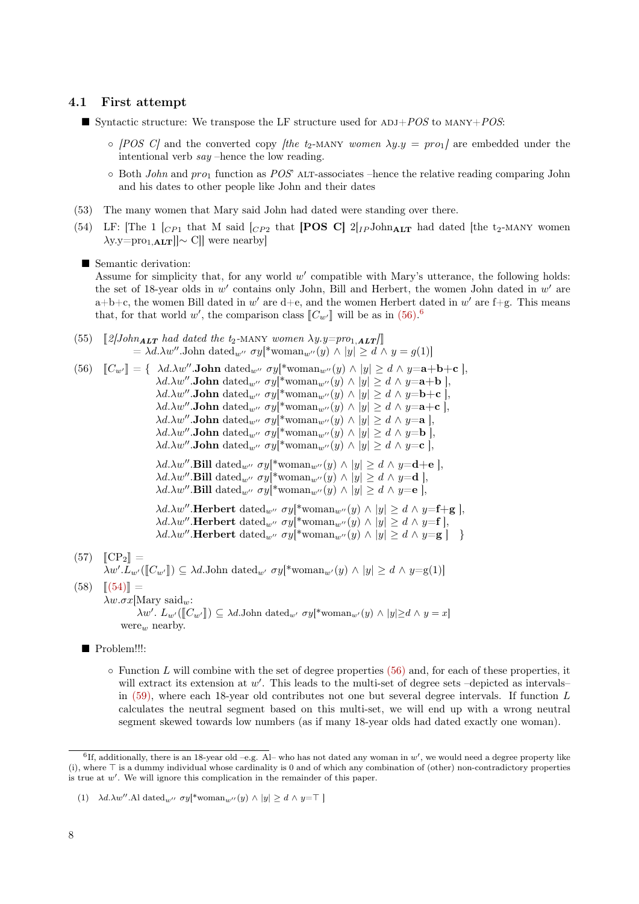#### 4.1 First attempt

- Syntactic structure: We transpose the LF structure used for  $ADJ+POS$  to  $MANY+POS$ 
	- $\circ$  [POS C] and the converted copy [the t<sub>2</sub>-MANY women  $\lambda y.y = pro_1$ ] are embedded under the intentional verb say –hence the low reading.
	- $\circ$  Both John and pro<sub>1</sub> function as POS' ALT-associates –hence the relative reading comparing John and his dates to other people like John and their dates
- (53) The many women that Mary said John had dated were standing over there.
- <span id="page-7-2"></span>(54) LF: [The 1  $\left[CP_1$  that M said  $\left[CP_2$  that **[POS C]**  $2\left[IP\right]$ John<sub>ALT</sub> had dated [the t<sub>2</sub>-MANY women  $\lambda$ y.y=pro<sub>1,ALT</sub>] $\sim$  C]] were nearby]

#### ■ Semantic derivation:

Assume for simplicity that, for any world  $w'$  compatible with Mary's utterance, the following holds: the set of 18-year olds in  $w'$  contains only John, Bill and Herbert, the women John dated in  $w'$  are  $a+b+c$ , the women Bill dated in w' are d+e, and the women Herbert dated in w' are f+g. This means that, for that world  $w'$ , the comparison class  $[[C_{w'}]]$  will be as in  $(56)^{6}$  $(56)^{6}$  $(56)^{6}$ .

(55)  $\left[\right.2\left|John_{ALT}\right\rangle$  had dated the t<sub>2</sub>-MANY women  $\lambda y.y=pro_{1,ALT}/\left[\right.$  $= \lambda d.\lambda w''$ .John datedwords  $\langle y \rangle^*$ woman<sub>w</sub>og $|y| \geq d \wedge y = g(1)$ 

<span id="page-7-0"></span>

| (56) | $\llbracket C_{w'} \rrbracket = \{ \lambda d. \lambda w''.$ <b>John</b> dated <sub>w'</sub> $\sigma y$ woman <sub>w'</sub> (y) $\wedge$ $ y  \ge d \wedge y =$ <b>a</b> + <b>b</b> + <b>c</b> ],                                                                                                                                                                                                                                                   |  |
|------|----------------------------------------------------------------------------------------------------------------------------------------------------------------------------------------------------------------------------------------------------------------------------------------------------------------------------------------------------------------------------------------------------------------------------------------------------|--|
|      | $\lambda d.\lambda w''$ .John dated <sub>w''</sub> $\sigma y$ <sup>*</sup> woman <sub>w''</sub> (y) $\wedge$  y  $\geq d \wedge y =$ <b>a</b> + <b>b</b>  ,                                                                                                                                                                                                                                                                                        |  |
|      | $\lambda d.\lambda w''$ .John dated <sub>w''</sub> $\sigma y$ <sup>*</sup> woman <sub>w''</sub> (y) $\wedge$  y  $\geq d \wedge y =$ <b>b</b> + <b>c</b>  ,                                                                                                                                                                                                                                                                                        |  |
|      | $\lambda d.\lambda w''$ .John dated <sub>w'</sub> $\sigma y$ <sup>*</sup> woman <sub>w'</sub> (y) $\wedge$  y  $\geq d \wedge y =$ <b>a</b> + <b>c</b>  ,                                                                                                                                                                                                                                                                                          |  |
|      | $\lambda d.\lambda w''$ .John datedw' $\sigma y$ <sup>*</sup> woman <sub>w'</sub> '(y) $\wedge$  y  $\geq d \wedge y = a$  ,                                                                                                                                                                                                                                                                                                                       |  |
|      | $\lambda d.\lambda w''.$ <b>John</b> dated <sub>w'</sub> $\sigma y$ <sup>*</sup> woman <sub>w'</sub> (y) $\wedge$  y  $\geq d \wedge y = b$  ,                                                                                                                                                                                                                                                                                                     |  |
|      | $\lambda d.\lambda w''.$ <b>John</b> dated <sub>w'</sub> $\sigma y$ <sup>*</sup> woman <sub>w'</sub> (y) $\wedge$  y  $\geq d \wedge y = c$  ,                                                                                                                                                                                                                                                                                                     |  |
|      | $\lambda d.\lambda w''.$ Bill dated <sub>w'</sub> $\sigma y$ <sup>*</sup> woman <sub>w'</sub> (y) $\wedge$  y  $\geq d \wedge y =$ <b>d</b> + <b>e</b> ],<br>$\lambda d.\lambda w''$ . Bill dated <sub>w'</sub> $\sigma y$ <sup>*</sup> woman <sub>w'</sub> (y) $\wedge$  y  $\geq d \wedge y = d$  ,<br>$\lambda d.\lambda w''.$ Bill dated <sub>w''</sub> $\sigma y$ <sup>*</sup> woman <sub>w''</sub> (y) $\wedge$  y  $\geq d \wedge y = e$  , |  |
|      | $\lambda d.\lambda w''$ . Herbert dated <sub>w''</sub> $\sigma y$ <sup>*</sup> woman <sub>w''</sub> (y) $\wedge$  y  $\geq d \wedge y = f + g$  ,<br>$\lambda d.\lambda w''.$ Herbert dated $w'' \sigma y$ <sup>*</sup> woman $w''(y) \wedge  y  \ge d \wedge y = f$ ,<br>$\lambda d.\lambda w''$ . Herbert dated <sub>w''</sub> $\sigma y$ <sup>*</sup> woman <sub>w'</sub> '(y) $\wedge$  y  $\geq d \wedge y = g$   }                           |  |
|      | $(57)$ $[CP_2] =$<br>$\lambda w'.L_{w'}(\llbracket C_{w'} \rrbracket) \subseteq \lambda d.$ John dated <sub>w'</sub> $\sigma y$ <sup>*</sup> woman <sub>w'</sub> $(y) \wedge  y  \geq d \wedge y = g(1)$                                                                                                                                                                                                                                           |  |
|      | $(58)$ $[(54)] =$                                                                                                                                                                                                                                                                                                                                                                                                                                  |  |
|      | $\lambda w.\sigma x$ [Mary said <sub>w</sub> :                                                                                                                                                                                                                                                                                                                                                                                                     |  |

 $\lambda w'. L_{w'}(\llbracket C_{w'} \rrbracket) \subseteq \lambda d$ .John datedw'  $\sigma y$ [\*woman<sub>w'</sub>(y) ∧ |y|≥d ∧ y = x] were<sub>w</sub> nearby.

- Problem!!!:
	- $\circ$  Function L will combine with the set of degree properties [\(56\)](#page-7-0) and, for each of these properties, it will extract its extension at  $w'$ . This leads to the multi-set of degree sets -depicted as intervalsin [\(59\),](#page-8-0) where each 18-year old contributes not one but several degree intervals. If function L calculates the neutral segment based on this multi-set, we will end up with a wrong neutral segment skewed towards low numbers (as if many 18-year olds had dated exactly one woman).

<span id="page-7-1"></span> ${}^{6}$ If, additionally, there is an 18-year old  $-e.g.$  Al– who has not dated any woman in  $w'$ , we would need a degree property like (i), where  $\top$  is a dummy individual whose cardinality is 0 and of which any combination of (other) non-contradictory properties is true at  $w'$ . We will ignore this complication in the remainder of this paper.

<sup>(1)</sup>  $\lambda d.\lambda w''.$ Al dated $_{w''}$   $\sigma y[^*$ woman $_{w''}(y) \wedge |y| \geq d \wedge y = \top$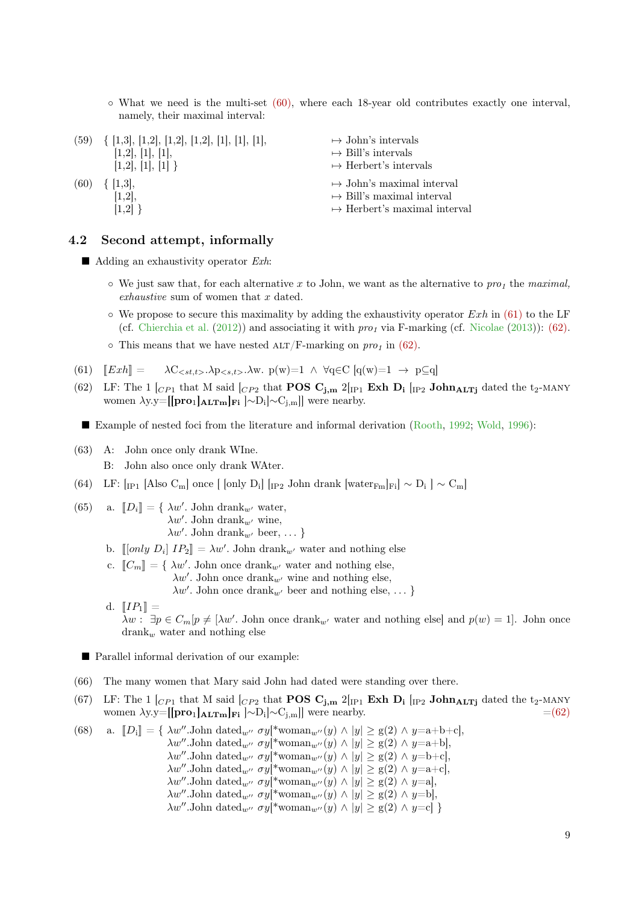◦ What we need is the multi-set [\(60\),](#page-8-1) where each 18-year old contributes exactly one interval, namely, their maximal interval:

<span id="page-8-1"></span><span id="page-8-0"></span>

|      | $(59) \{ [1,3], [1,2], [1,2], [1,2], [1], [1], [1],$<br>[1,2], [1], [1],<br>[1,2], [1], [1] | $\mapsto$ John's intervals<br>$\mapsto$ Bill's intervals<br>$\mapsto$ Herbert's intervals                      |
|------|---------------------------------------------------------------------------------------------|----------------------------------------------------------------------------------------------------------------|
| (60) | $\{ [1,3],$<br>[1,2],<br> 1.2                                                               | $\mapsto$ John's maximal interval<br>$\mapsto$ Bill's maximal interval<br>$\mapsto$ Herbert's maximal interval |

### 4.2 Second attempt, informally

- $\blacksquare$  Adding an exhaustivity operator *Exh*:
	- $\circ$  We just saw that, for each alternative x to John, we want as the alternative to pro<sub>1</sub> the maximal, exhaustive sum of women that x dated.
	- $\circ$  We propose to secure this maximality by adding the exhaustivity operator Exh in [\(61\)](#page-8-2) to the LF (cf. [Chierchia et al.](#page-11-19) [\(2012\)](#page-11-19)) and associating it with  $proj$  via F-marking (cf. [Nicolae](#page-11-20) [\(2013\)](#page-11-20)): [\(62\).](#page-8-3)
	- $\circ$  This means that we have nested ALT/F-marking on pro<sub>1</sub> in [\(62\).](#page-8-3)
- <span id="page-8-2"></span>(61)  $\llbracket Exth \rrbracket = \lambda C_{\leq st,t>} \cdot \lambda p_{\leq s,t>} \cdot \lambda w$ .  $p(w)=1 \wedge \forall q \in C$   $[q(w)=1 \rightarrow p \subseteq q]$
- <span id="page-8-3"></span>(62) LF: The 1  $_{[CP1]}$  that M said  $_{[CP2]}$  that **POS C**<sub>j,m</sub> 2 $_{[IP1]}$  **Exh D<sub>i</sub>**  $_{[IP2]}$  **John<sub>ALTj</sub>** dated the t<sub>2</sub>-MANY women  $\lambda y.y=[[\mathbf{pro}_1]_{\mathbf{ALTm}}]_{\mathbf{Fi}}] \sim D_i[\sim C_{j,m}]$  were nearby.
	- Example of nested foci from the literature and informal derivation [\(Rooth,](#page-11-21) [1992;](#page-11-21) [Wold,](#page-11-22) [1996\)](#page-11-22):
- (63) A: John once only drank WIne.
	- B: John also once only drank WAter.
- (64) LF:  $\left[_{\text{IP1}}\right]$  [Also C<sub>m</sub>] once  $\left[$  [only D<sub>i</sub>]  $\left[_{\text{IP2}}\right]$  John drank  $\left[\text{water}_{Fm}\right]_{\text{Fi}}$ ] ~  $\left[\text{Deo}\right]$  ~ C<sub>m</sub>]
- (65) a.  $[[D_i]] = \{ \lambda w'. \text{ John } \text{drank}_{w'} \text{ water}, \}$  $\lambda w'$ . John drank<sub>w'</sub> wine,  $\lambda w'$ . John drank<sub>w'</sub> beer, ... }
	- b.  $[[only D_i] IP_2] = \lambda w'$ . John drank<sub>w'</sub> water and nothing else
	- c.  $[[C_m]] = \{ \lambda w'.$  John once drank<sub>w'</sub> water and nothing else,  $\lambda w'$ . John once drank<sub>w'</sub> wine and nothing else,  $\lambda w'$ . John once drank<sub>w'</sub> beer and nothing else, ... }
	- d.  $[IP_1] =$  $\lambda w: \exists p \in C_m[p \neq [\lambda w']$ . John once drank<sub>w'</sub> water and nothing else] and  $p(w) = 1$ . John once  $\text{drank}_{w}$  water and nothing else

■ Parallel informal derivation of our example:

- (66) The many women that Mary said John had dated were standing over there.
- (67) LF: The 1  $_{[CP1]}$  that M said  $_{[CP2]}$  that **POS C**<sub>j,m</sub> 2 $_{[IP1]}$  **Exh D<sub>i</sub>**  $_{[IP2]}$  **John<sub>ALTj</sub>** dated the t<sub>2</sub>-MANY women  $\lambda$ y.y=[[pro<sub>1</sub>]<sub>ALTm</sub>]<sub>Fi</sub>  $\sim$ D<sub>i</sub>] $\sim$ C<sub>j,m</sub>]] were nearby.  $=$  [=\(62\)](#page-8-3)

(68) a.  $\llbracket D_i \rrbracket = \{ \lambda w''.\text{John dated}_{w''} \ \sigma y[^* \text{woman}_{w''}(y) \wedge |y| \geq g(2) \wedge y = a+b+c \},\$  $\lambda w''$ .John datedword  $\sigma y$ [\*woman<sub>w</sub>ord  $|y| \ge g(2) \wedge y = a+b$ ],  $\lambda w''.$ John datedw'  $\sigma y[*$ woman<sub>w'</sub> $(y) \wedge |y| \ge g(2) \wedge y=b+c$ ,  $\lambda w''.$ John datedw'  $\sigma y$ [\*woman<sub>w'</sub>(y)  $\land$   $|y| \ge g(2) \land y = a+c$ ],  $\lambda w''.$ John datedw'  $\sigma y$ [\*woman<sub>w'</sub>'(y)  $\wedge$  |y|  $\geq$  g(2)  $\wedge$  y=a],  $\lambda w''.$ John datedwordlands  $\lambda w''$ .John datedwordlands  $y|*\text{woman}_{w''}(y) \wedge |y| \ge g(2) \wedge y = b$ ,  $\lambda w''$ .John dated<sub>w'</sub>  $\sigma y$ [\*woman<sub>w'</sub> $(y) \wedge |y| \ge g(2) \wedge y = c$ ]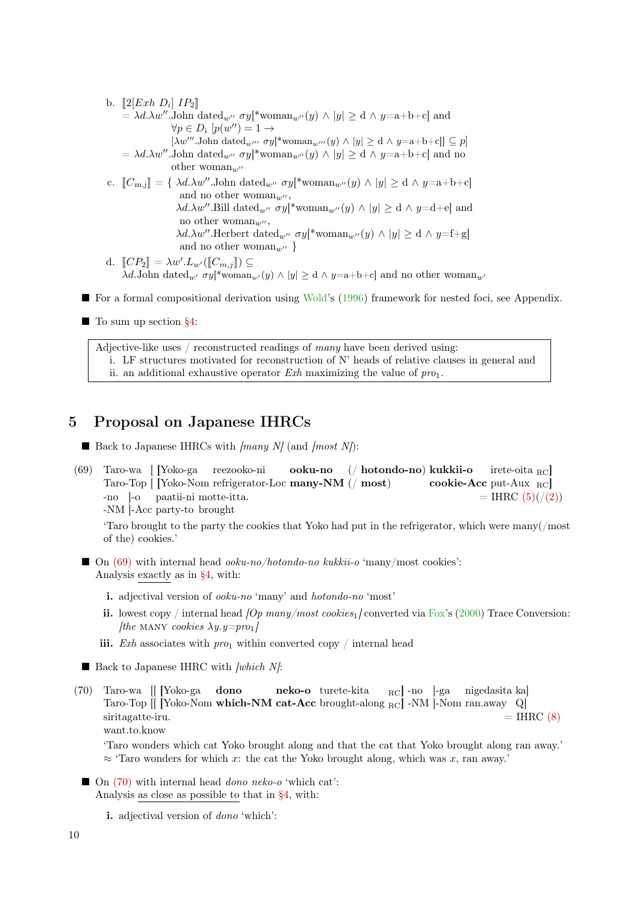- b.  $[2[Exh D_i] IP_2]$ <br> $= \frac{\lambda d}{\lambda w''}$  John  $= \lambda d.\lambda w''.$ John datedw $\sigma$   $\sigma y$ [\*woman<sub>w'</sub> $(y) \wedge |y| \ge d \wedge y = a+b+c$ ] and  $\forall p \in D_i \ [p(w'') = 1 \rightarrow$  $[\lambda w^{\prime\prime\prime}$ .John dated $w^{\prime\prime\prime} \sigma y^*$ woman $w^{\prime\prime\prime}(y) \wedge |y| \geq d \wedge y = a+b+c$ ]]  $\subseteq p$ ]  $= \lambda d.\lambda w''.$ John dated<sub>w</sub> $\sigma y$ [\*woman<sub>w</sub> $\sigma(y) \wedge |y| \geq d \wedge y = a+b+c$ ] and no other woman<sub>w</sub> c.  $[\![C_{m,j}]\!] = {\mathcal{A}d.\lambda w''.\text{John dated}_{w''} \sigma y[*woman_{w''}(y) \wedge |y| \geq d \wedge y=a+b+c]}$ and no other woman<sub>w''</sub>,  $\lambda d.\lambda w''.$ Bill datedw<br/>' $\sigma y[^* \text{woman}_{w''}(y) \wedge |y| \geq \text{d} \wedge y = \text{d} + \text{e} ]$  and no other woman<sub>w"</sub>,  $\lambda d.\lambda w''$ .Herbert datedw<sup>n</sup>  $\sigma y$ [\*woman<sub>w</sub>n(y)  $\land$  |y|  $\geq d \land y = f + g$ ] and no other woman<sub>w</sub> $\}$ 
	- d.  $[\![CP_2]\!] = \lambda w'.L_{w'}([\![C_{m,j}]\!]) \subseteq$ <br>  $\lambda d$  John dated  $\lambda d$  swith resumer  $\lambda d$ .John dated<sub>w'</sub>  $\sigma y$ [\*woman<sub>w'</sub>(y)  $\land$  |y|  $\geq$  d  $\land$  y=a+b+c] and no other woman<sub>w'</sub>
- For a formal compositional derivation using [Wold'](#page-11-22)s [\(1996\)](#page-11-22) framework for nested foci, see Appendix.
- To sum up section [§4:](#page-6-0)

Adjective-like uses / reconstructed readings of many have been derived using: i. LF structures motivated for reconstruction of N' heads of relative clauses in general and ii. an additional exhaustive operator  $Exh$  maximizing the value of  $pro_1$ .

## <span id="page-9-0"></span>5 Proposal on Japanese IHRCs

 $\blacksquare$  Back to Japanese IHRCs with [many N] (and [most N]):

<span id="page-9-1"></span>(69) Taro-wa [ [Yoko-ga Taro-Top [ [Yoko-Nom refrigerator-Loc many-NM (/ most) reezooko-ni ooku-no (/ hotondo-no) kukkii-o cookie-Acc put-Aux RC] irete-oita RC] -no ]-o paatii-ni motte-itta. -NM ]-Acc party-to brought  $=$  IHRC  $(5)((/2))$  $(5)((/2))$ 

'Taro brought to the party the cookies that Yoko had put in the refrigerator, which were many(/most of the) cookies.'

- $\Box$  On [\(69\)](#page-9-1) with internal head *ooku-no/hotondo-no kukkii-o* 'many/most cookies': Analysis exactly as in [§4,](#page-6-0) with:
	- i. adjectival version of ooku-no 'many' and hotondo-no 'most'
	- ii. lowest copy / internal head  $\sqrt{Op}$  many/most cookies<sub>1</sub> converted via [Fox'](#page-11-17)s [\(2000\)](#page-11-17) Trace Conversion: [the MANY cookies  $\lambda y.y = pro_1$ ]
	- iii. Exh associates with  $proj$  within converted copy / internal head
- $\blacksquare$  Back to Japanese IHRC with [which N]:
- <span id="page-9-2"></span>(70) Taro-wa [[ [Yoko-ga Taro-Top [[ [Yoko-Nom which-NM cat-Acc brought-along <sub>RC</sub>] -NM ]-Nom ran.away Q] dono neko-o turete-kita RC] -no ]-ga nigedasita ka] siritagatte-iru. want.to.know  $=$  IHRC  $(8)$

'Taro wonders which cat Yoko brought along and that the cat that Yoko brought along ran away.'  $\approx$  'Taro wonders for which x: the cat the Yoko brought along, which was x, ran away.'

 $\Box$  On [\(70\)](#page-9-2) with internal head *dono neko-o* 'which cat': Analysis as close as possible to that in [§4,](#page-6-0) with:

i. adjectival version of dono 'which':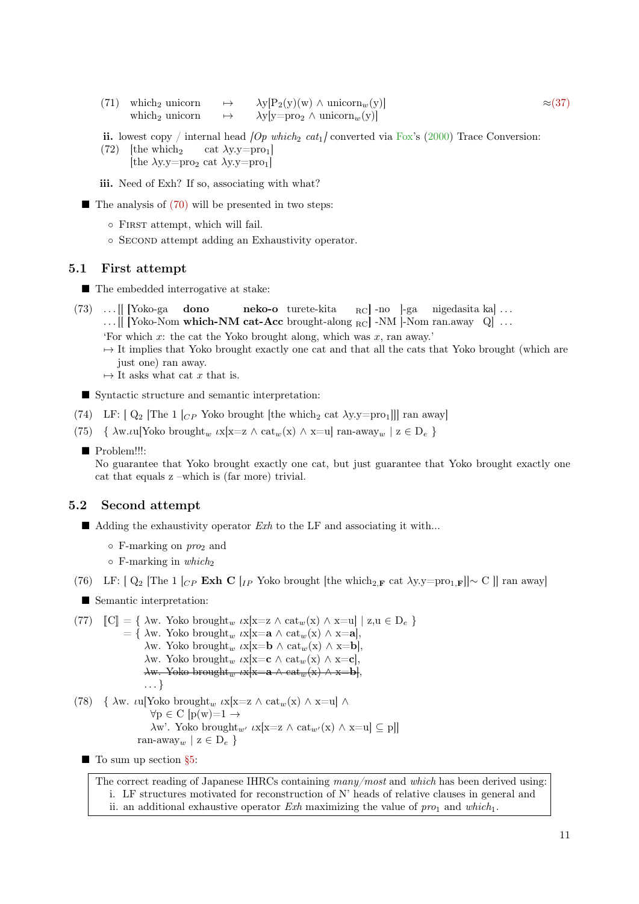- (71) which<sub>2</sub> unicorn  $\rightarrow \lambda y[P_2(y)(w) \wedge \text{unicorn}_w(y)]$   $\approx$ [\(37\)](#page-4-3) which<sub>2</sub> unicorn  $\rightarrow \lambda y[y=pro_2 \wedge \text{unicorn}_w(y)]$
- ii. lowest copy / internal head  $\langle Op \ which_2 \ cat_1 \rangle$  converted via [Fox'](#page-11-17)s [\(2000\)](#page-11-17) Trace Conversion:
- (72) [the which<sub>2</sub> cat  $\lambda y.y=pr_01$ ] [the  $\lambda y.y = pro_2$  cat  $\lambda y.y = pro_1$ ]
- iii. Need of Exh? If so, associating with what?
- $\blacksquare$  The analysis of [\(70\)](#page-9-2) will be presented in two steps:
	- First attempt, which will fail.
	- Second attempt adding an Exhaustivity operator.

### 5.1 First attempt

- The embedded interrogative at stake:
- (73) . . . [[ [Yoko-ga dono neko-o turete-kita RC - no - ]-ga - nigedasita ka ] ...
	- ... [[ [Yoko-Nom which-NM cat-Acc brought-along  $_{\rm RC}$ ] -NM ]-Nom ran.away Q] ...
	- 'For which x: the cat the Yoko brought along, which was x, ran away.'
	- $\rightarrow$  It implies that Yoko brought exactly one cat and that all the cats that Yoko brought (which are just one) ran away.
	- $\mapsto$  It asks what cat x that is.

Syntactic structure and semantic interpretation:

- (74) LF:  $[Q_2]$  The 1  $[CP$  Yoko brought [the which<sub>2</sub> cat  $\lambda y.y=pr_01$ ]] ran away]
- (75) {  $\lambda w.u$ [Yoko brought<sub>w</sub>  $\iota x[x=z \wedge \mathrm{cat}_w(x) \wedge x=u]$  ran-away<sub>w</sub> |  $z \in D_e$  }
	- Problem!!!:

No guarantee that Yoko brought exactly one cat, but just guarantee that Yoko brought exactly one cat that equals z –which is (far more) trivial.

### 5.2 Second attempt

- $\blacksquare$  Adding the exhaustivity operator Exh to the LF and associating it with...
	- $\circ$  F-marking on  $\text{pro}_2$  and
	- $\circ$  F-marking in which<sub>2</sub>

(76) LF:  $[ \ Q_2 ]$  The 1  $[ \ C_P \to \infty]$  C  $[ \Gamma_P \to \infty]$  row brought  $[ \text{the which} \ 2_F \text{cat } \lambda y.y = \text{pro}_1 \cdot \mathbf{F} ] \sim C ]$  ran away]

■ Semantic interpretation:

```
(77) \mathbb{C} \cdot \mathbb{C} = \{ \lambda w. Yoko brought<sub>w</sub> \iota x[x=z \wedge \iota x_w(x) \wedge x=u] \mid z,u \in D_e \}= \{ \lambda w. \text{Yoko brought}_{w} \mu x | x = \mathbf{a} \wedge \text{cat}_{w}(x) \wedge x = \mathbf{a} \},λw. Yoko brought<sub>w</sub> ιx[x=b ∧ cat<sub>w</sub>(x) ∧ x=b]
                          \lambdaw. Yoko brought<sub>w</sub> \iotax[x=c \wedge cat<sub>w</sub>(x) \wedge x=c],
                          \lambdaw. Yoko brought<sub>w</sub> \iotax[x=a \wedge cat<sub>w</sub>(x) \wedge x=b].
                          . . . }
(78) { \lambdaw. ιu[Yoko brought<sub>w</sub> ιx[x=z \wedge cat<sub>w</sub>(x) \wedge x=u] \wedge\forall p \in C [p(w)=1 \rightarrow\lambda w'. Yoko brought<sub>w'</sub> \iota x[x=z \wedge \mathrm{cat}_{w'}(x) \wedge x=u] \subseteq pl]
                       ran-away<sub>w</sub> | z \in D_e }
```
 $\blacksquare$  To sum up section  $\S5$ :

The correct reading of Japanese IHRCs containing many/most and which has been derived using: i. LF structures motivated for reconstruction of N' heads of relative clauses in general and ii. an additional exhaustive operator Exh maximizing the value of  $pro_1$  and which.